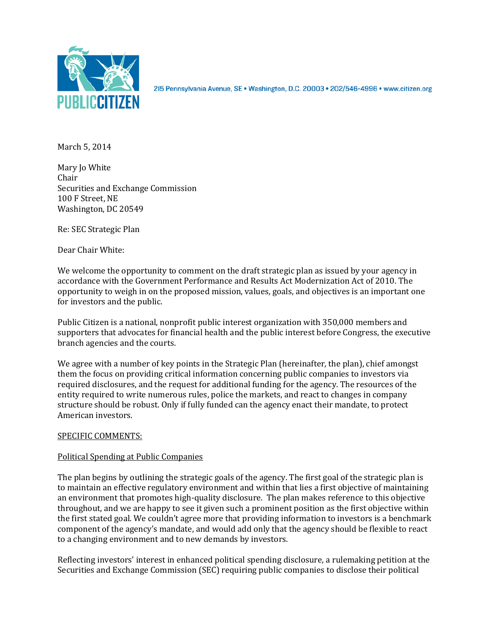

2I5 Pennsylvania Avenue, SE · Washington, D.C. 20003 · 202/546-4996 · www.citizen.org

March 5, 2014

Mary Jo White Chair Securities and Exchange Commission 100 F Street, NE Washington, DC 20549

Re: SEC Strategic Plan

Dear Chair White:

We welcome the opportunity to comment on the draft strategic plan as issued by your agency in accordance with the Government Performance and Results Act Modernization Act of 2010. The opportunity to weigh in on the proposed mission, values, goals, and objectives is an important one for investors and the public.

Public Citizen is a national, nonprofit public interest organization with 350,000 members and supporters that advocates for financial health and the public interest before Congress, the executive branch agencies and the courts.

We agree with a number of key points in the Strategic Plan (hereinafter, the plan), chief amongst them the focus on providing critical information concerning public companies to investors via required disclosures, and the request for additional funding for the agency. The resources of the entity required to write numerous rules, police the markets, and react to changes in company structure should be robust. Only if fully funded can the agency enact their mandate, to protect American investors.

## SPECIFIC COMMENTS:

## Political Spending at Public Companies

The plan begins by outlining the strategic goals of the agency. The first goal of the strategic plan is to maintain an effective regulatory environment and within that lies a first objective of maintaining an environment that promotes high-quality disclosure. The plan makes reference to this objective throughout, and we are happy to see it given such a prominent position as the first objective within the first stated goal. We couldn't agree more that providing information to investors is a benchmark component of the agency's mandate, and would add only that the agency should be flexible to react to a changing environment and to new demands by investors.

Reflecting investors' interest in enhanced political spending disclosure, a rulemaking petition at the Securities and Exchange Commission (SEC) requiring public companies to disclose their political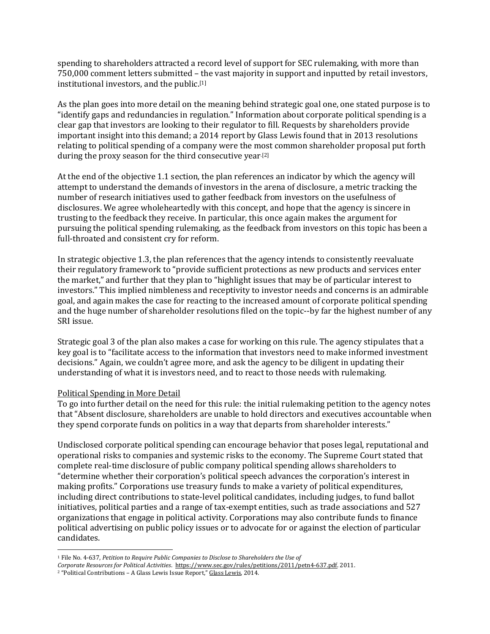spending to shareholders attracted a record level of support for SEC rulemaking, with more than 750,000 comment letters submitted – the vast majority in support and inputted by retail investors, institutional investors, and the public.[1]

As the plan goes into more detail on the meaning behind strategic goal one, one stated purpose is to "identify gaps and redundancies in regulation." Information about corporate political spending is a clear gap that investors are looking to their regulator to fill. Requests by shareholders provide important insight into this demand; a 2014 report by Glass Lewis found that in 2013 resolutions relating to political spending of a company were the most common shareholder proposal put forth during the proxy season for the third consecutive year.[2]

At the end of the objective 1.1 section, the plan references an indicator by which the agency will attempt to understand the demands of investors in the arena of disclosure, a metric tracking the number of research initiatives used to gather feedback from investors on the usefulness of disclosures. We agree wholeheartedly with this concept, and hope that the agency is sincere in trusting to the feedback they receive. In particular, this once again makes the argument for pursuing the political spending rulemaking, as the feedback from investors on this topic has been a full-throated and consistent cry for reform.

In strategic objective 1.3, the plan references that the agency intends to consistently reevaluate their regulatory framework to "provide sufficient protections as new products and services enter the market," and further that they plan to "highlight issues that may be of particular interest to investors." This implied nimbleness and receptivity to investor needs and concerns is an admirable goal, and again makes the case for reacting to the increased amount of corporate political spending and the huge number of shareholder resolutions filed on the topic--by far the highest number of any SRI issue.

Strategic goal 3 of the plan also makes a case for working on this rule. The agency stipulates that a key goal is to "facilitate access to the information that investors need to make informed investment decisions." Again, we couldn't agree more, and ask the agency to be diligent in updating their understanding of what it is investors need, and to react to those needs with rulemaking.

## Political Spending in More Detail

l

To go into further detail on the need for this rule: the initial rulemaking petition to the agency notes that "Absent disclosure, shareholders are unable to hold directors and executives accountable when they spend corporate funds on politics in a way that departs from shareholder interests."

Undisclosed corporate political spending can encourage behavior that poses legal, reputational and operational risks to companies and systemic risks to the economy. The Supreme Court stated that complete real-time disclosure of public company political spending allows shareholders to "determine whether their corporation's political speech advances the corporation's interest in making profits." Corporations use treasury funds to make a variety of political expenditures, including direct contributions to state-level political candidates, including judges, to fund ballot initiatives, political parties and a range of tax-exempt entities, such as trade associations and 527 organizations that engage in political activity. Corporations may also contribute funds to finance political advertising on public policy issues or to advocate for or against the election of particular candidates.

<sup>1</sup> File No. 4-637, *Petition to Require Public Companies to Disclose to Shareholders the Use of*

*Corporate Resources for Political Activities*. [https://www.sec.gov/rules/petitions/2011/petn4-637.pdf.](https://www.sec.gov/rules/petitions/2011/petn4-637.pdf) 2011.

<sup>2</sup> "Political Contributions – A Glass Lewis Issue Report," Glass Lewis, 2014.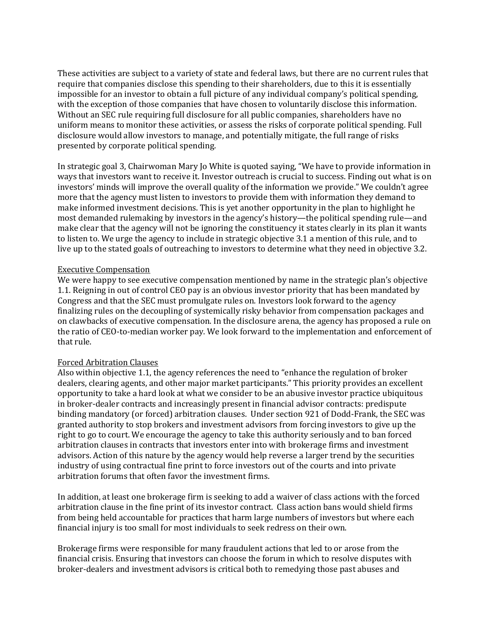These activities are subject to a variety of state and federal laws, but there are no current rules that require that companies disclose this spending to their shareholders, due to this it is essentially impossible for an investor to obtain a full picture of any individual company's political spending, with the exception of those companies that have chosen to voluntarily disclose this information. Without an SEC rule requiring full disclosure for all public companies, shareholders have no uniform means to monitor these activities, or assess the risks of corporate political spending. Full disclosure would allow investors to manage, and potentially mitigate, the full range of risks presented by corporate political spending.

In strategic goal 3, Chairwoman Mary Jo White is quoted saying, "We have to provide information in ways that investors want to receive it. Investor outreach is crucial to success. Finding out what is on investors' minds will improve the overall quality of the information we provide." We couldn't agree more that the agency must listen to investors to provide them with information they demand to make informed investment decisions. This is yet another opportunity in the plan to highlight he most demanded rulemaking by investors in the agency's history—the political spending rule—and make clear that the agency will not be ignoring the constituency it states clearly in its plan it wants to listen to. We urge the agency to include in strategic objective 3.1 a mention of this rule, and to live up to the stated goals of outreaching to investors to determine what they need in objective 3.2.

## Executive Compensation

We were happy to see executive compensation mentioned by name in the strategic plan's objective 1.1. Reigning in out of control CEO pay is an obvious investor priority that has been mandated by Congress and that the SEC must promulgate rules on. Investors look forward to the agency finalizing rules on the decoupling of systemically risky behavior from compensation packages and on clawbacks of executive compensation. In the disclosure arena, the agency has proposed a rule on the ratio of CEO-to-median worker pay. We look forward to the implementation and enforcement of that rule.

# Forced Arbitration Clauses

Also within objective 1.1, the agency references the need to "enhance the regulation of broker dealers, clearing agents, and other major market participants." This priority provides an excellent opportunity to take a hard look at what we consider to be an abusive investor practice ubiquitous in broker-dealer contracts and increasingly present in financial advisor contracts: predispute binding mandatory (or forced) arbitration clauses. Under section 921 of Dodd-Frank, the SEC was granted authority to stop brokers and investment advisors from forcing investors to give up the right to go to court. We encourage the agency to take this authority seriously and to ban forced arbitration clauses in contracts that investors enter into with brokerage firms and investment advisors. Action of this nature by the agency would help reverse a larger trend by the securities industry of using contractual fine print to force investors out of the courts and into private arbitration forums that often favor the investment firms.

In addition, at least one brokerage firm is seeking to add a waiver of class actions with the forced arbitration clause in the fine print of its investor contract. Class action bans would shield firms from being held accountable for practices that harm large numbers of investors but where each financial injury is too small for most individuals to seek redress on their own.

Brokerage firms were responsible for many fraudulent actions that led to or arose from the financial crisis. Ensuring that investors can choose the forum in which to resolve disputes with broker-dealers and investment advisors is critical both to remedying those past abuses and